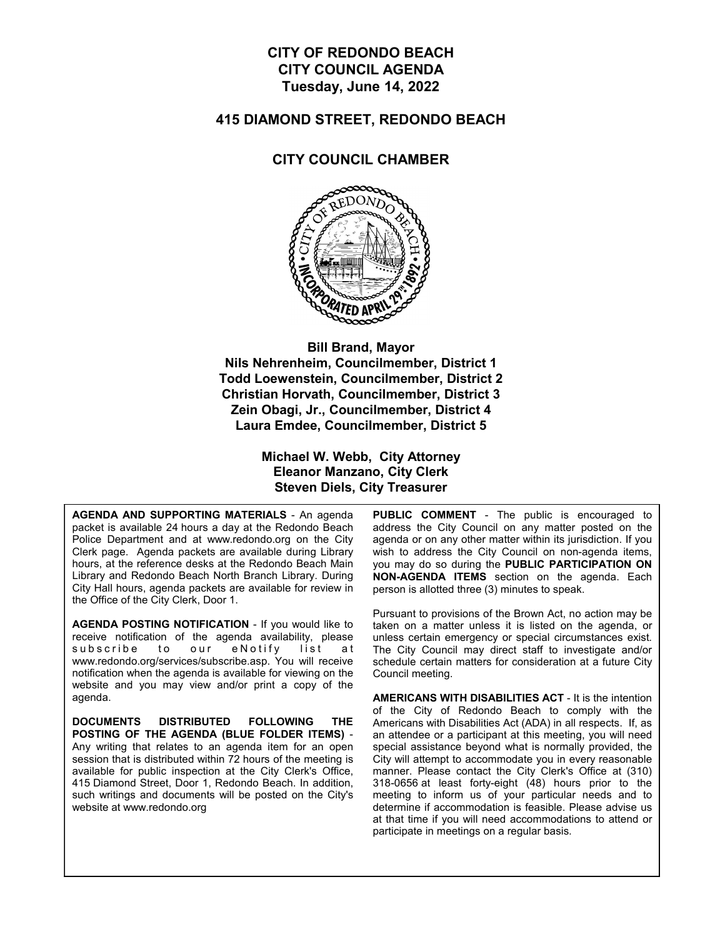#### **CITY OF REDONDO BEACH CITY COUNCIL AGENDA Tuesday, June 14, 2022**

#### **415 DIAMOND STREET, REDONDO BEACH**

#### **CITY COUNCIL CHAMBER**



**Bill Brand, Mayor Nils Nehrenheim, Councilmember, District 1 Todd Loewenstein, Councilmember, District 2 Christian Horvath, Councilmember, District 3 Zein Obagi, Jr., Councilmember, District 4 Laura Emdee, Councilmember, District 5**

> **Michael W. Webb, City Attorney Eleanor Manzano, City Clerk Steven Diels, City Treasurer**

**AGENDA AND SUPPORTING MATERIALS** - An agenda packet is available 24 hours a day at the Redondo Beach Police Department and at www.redondo.org on the City Clerk page. Agenda packets are available during Library hours, at the reference desks at the Redondo Beach Main Library and Redondo Beach North Branch Library. During City Hall hours, agenda packets are available for review in the Office of the City Clerk, Door 1.

**AGENDA POSTING NOTIFICATION** - If you would like to receive notification of the agenda availability, please subscribe to our eNotify list at www.redondo.org/services/subscribe.asp. You will receive notification when the agenda is available for viewing on the website and you may view and/or print a copy of the agenda.

**DOCUMENTS DISTRIBUTED FOLLOWING THE POSTING OF THE AGENDA (BLUE FOLDER ITEMS)** - Any writing that relates to an agenda item for an open session that is distributed within 72 hours of the meeting is available for public inspection at the City Clerk's Office, 415 Diamond Street, Door 1, Redondo Beach. In addition, such writings and documents will be posted on the City's website at www.redondo.org

**PUBLIC COMMENT** - The public is encouraged to address the City Council on any matter posted on the agenda or on any other matter within its jurisdiction. If you wish to address the City Council on non-agenda items, you may do so during the **PUBLIC PARTICIPATION ON NON-AGENDA ITEMS** section on the agenda. Each person is allotted three (3) minutes to speak.

Pursuant to provisions of the Brown Act, no action may be taken on a matter unless it is listed on the agenda, or unless certain emergency or special circumstances exist. The City Council may direct staff to investigate and/or schedule certain matters for consideration at a future City Council meeting.

**AMERICANS WITH DISABILITIES ACT** - It is the intention of the City of Redondo Beach to comply with the Americans with Disabilities Act (ADA) in all respects. If, as an attendee or a participant at this meeting, you will need special assistance beyond what is normally provided, the City will attempt to accommodate you in every reasonable manner. Please contact the City Clerk's Office at (310) 318-0656 at least forty-eight (48) hours prior to the meeting to inform us of your particular needs and to determine if accommodation is feasible. Please advise us at that time if you will need accommodations to attend or participate in meetings on a regular basis.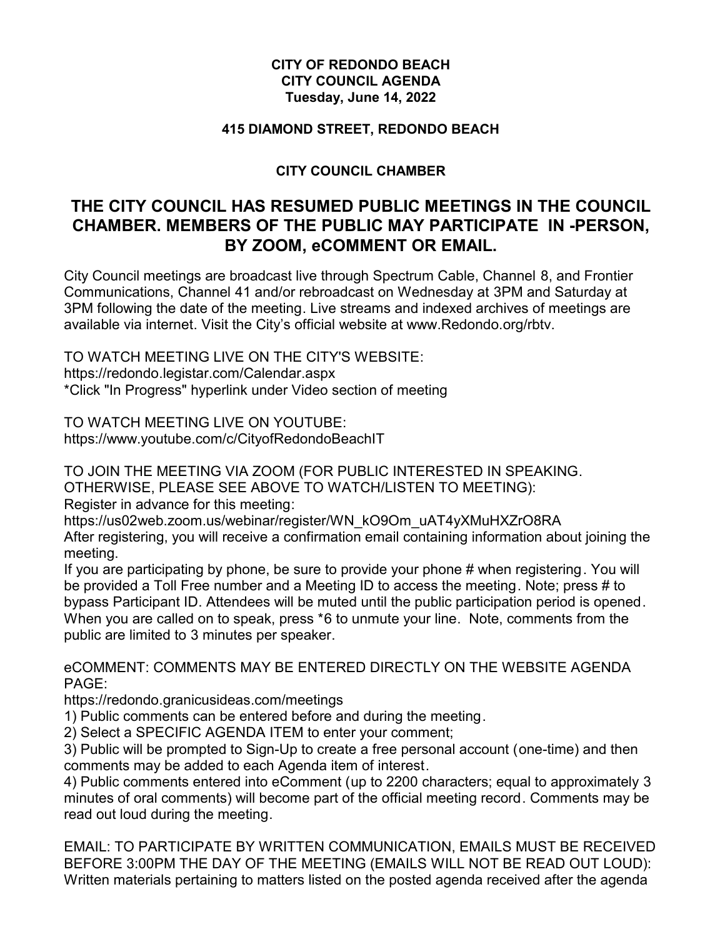#### **CITY OF REDONDO BEACH CITY COUNCIL AGENDA Tuesday, June 14, 2022**

#### **415 DIAMOND STREET, REDONDO BEACH**

#### **CITY COUNCIL CHAMBER**

# **THE CITY COUNCIL HAS RESUMED PUBLIC MEETINGS IN THE COUNCIL CHAMBER. MEMBERS OF THE PUBLIC MAY PARTICIPATE IN -PERSON, BY ZOOM, eCOMMENT OR EMAIL.**

City Council meetings are broadcast live through Spectrum Cable, Channel 8, and Frontier Communications, Channel 41 and/or rebroadcast on Wednesday at 3PM and Saturday at 3PM following the date of the meeting. Live streams and indexed archives of meetings are available via internet. Visit the City's official website at www.Redondo.org/rbtv.

TO WATCH MEETING LIVE ON THE CITY'S WEBSITE: https://redondo.legistar.com/Calendar.aspx \*Click "In Progress" hyperlink under Video section of meeting

TO WATCH MEETING LIVE ON YOUTUBE: https://www.youtube.com/c/CityofRedondoBeachIT

TO JOIN THE MEETING VIA ZOOM (FOR PUBLIC INTERESTED IN SPEAKING. OTHERWISE, PLEASE SEE ABOVE TO WATCH/LISTEN TO MEETING):

Register in advance for this meeting:

https://us02web.zoom.us/webinar/register/WN\_kO9Om\_uAT4yXMuHXZrO8RA

After registering, you will receive a confirmation email containing information about joining the meeting.

If you are participating by phone, be sure to provide your phone # when registering. You will be provided a Toll Free number and a Meeting ID to access the meeting. Note; press # to bypass Participant ID. Attendees will be muted until the public participation period is opened. When you are called on to speak, press \*6 to unmute your line. Note, comments from the public are limited to 3 minutes per speaker.

eCOMMENT: COMMENTS MAY BE ENTERED DIRECTLY ON THE WEBSITE AGENDA PAGE:

https://redondo.granicusideas.com/meetings

1) Public comments can be entered before and during the meeting.

2) Select a SPECIFIC AGENDA ITEM to enter your comment;

3) Public will be prompted to Sign-Up to create a free personal account (one-time) and then comments may be added to each Agenda item of interest.

4) Public comments entered into eComment (up to 2200 characters; equal to approximately 3 minutes of oral comments) will become part of the official meeting record. Comments may be read out loud during the meeting.

EMAIL: TO PARTICIPATE BY WRITTEN COMMUNICATION, EMAILS MUST BE RECEIVED BEFORE 3:00PM THE DAY OF THE MEETING (EMAILS WILL NOT BE READ OUT LOUD): Written materials pertaining to matters listed on the posted agenda received after the agenda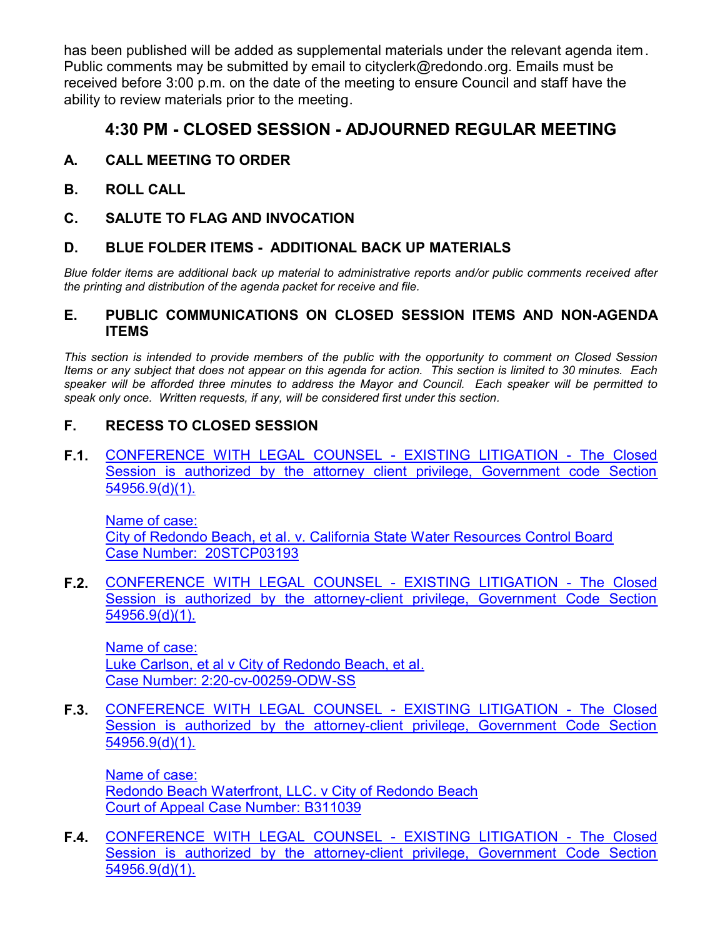has been published will be added as supplemental materials under the relevant agenda item. Public comments may be submitted by email to cityclerk@redondo.org. Emails must be received before 3:00 p.m. on the date of the meeting to ensure Council and staff have the ability to review materials prior to the meeting.

# **4:30 PM - CLOSED SESSION - ADJOURNED REGULAR MEETING**

- **A. CALL MEETING TO ORDER**
- **B. ROLL CALL**
- **C. SALUTE TO FLAG AND INVOCATION**

#### **D. BLUE FOLDER ITEMS - ADDITIONAL BACK UP MATERIALS**

*Blue folder items are additional back up material to administrative reports and/or public comments received after the printing and distribution of the agenda packet for receive and file.*

#### **E. PUBLIC COMMUNICATIONS ON CLOSED SESSION ITEMS AND NON-AGENDA ITEMS**

*This section is intended to provide members of the public with the opportunity to comment on Closed Session Items or any subject that does not appear on this agenda for action. This section is limited to 30 minutes. Each speaker will be afforded three minutes to address the Mayor and Council. Each speaker will be permitted to speak only once. Written requests, if any, will be considered first under this section.*

## **F. RECESS TO CLOSED SESSION**

**F.1.** [CONFERENCE WITH LEGAL COUNSEL - EXISTING LITIGATION - The Closed](http://redondo.legistar.com/gateway.aspx?m=l&id=/matter.aspx?key=5818) Session is authorized by the attorney client privilege, Government code Section 54956.9(d)(1).

Name of case: City of Redondo Beach, et al. v. California State Water Resources Control Board Case Number: 20STCP03193

**F.2.** [CONFERENCE WITH LEGAL COUNSEL - EXISTING LITIGATION - The Closed](http://redondo.legistar.com/gateway.aspx?m=l&id=/matter.aspx?key=5819) Session is authorized by the attorney-client privilege, Government Code Section 54956.9(d)(1).

Name of case: Luke Carlson, et al v City of Redondo Beach, et al. Case Number: 2:20-cv-00259-ODW-SS

**F.3.** [CONFERENCE WITH LEGAL COUNSEL - EXISTING LITIGATION - The Closed](http://redondo.legistar.com/gateway.aspx?m=l&id=/matter.aspx?key=5820) Session is authorized by the attorney-client privilege, Government Code Section 54956.9(d)(1).

Name of case: Redondo Beach Waterfront, LLC. v City of Redondo Beach Court of Appeal Case Number: B311039

**F.4.** [CONFERENCE WITH LEGAL COUNSEL - EXISTING LITIGATION - The Closed](http://redondo.legistar.com/gateway.aspx?m=l&id=/matter.aspx?key=5865) Session is authorized by the attorney-client privilege, Government Code Section 54956.9(d)(1).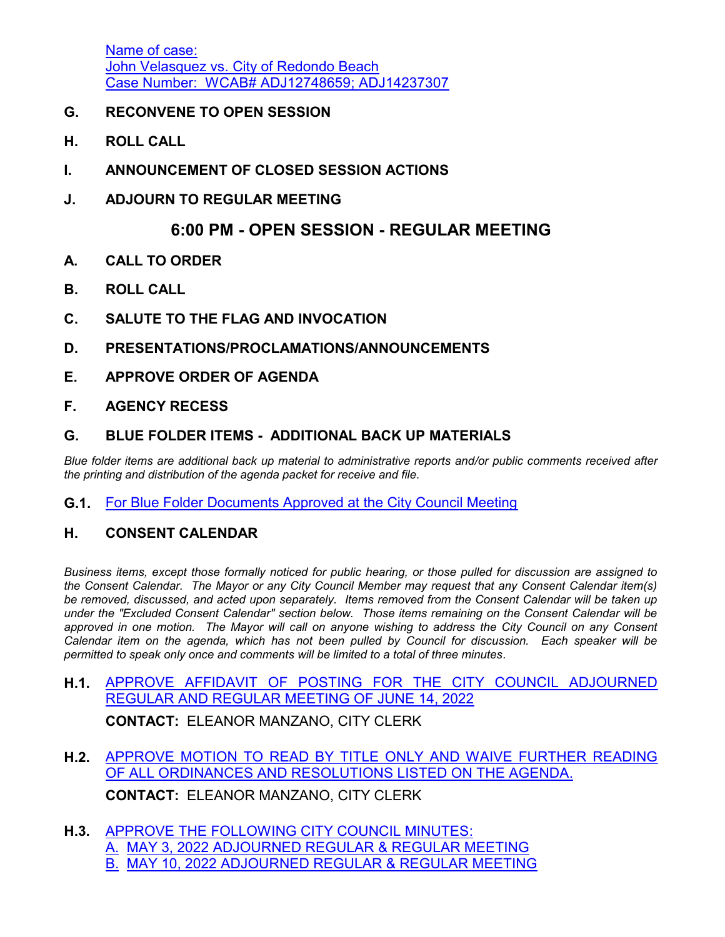Name of case: John Velasquez vs. City of Redondo Beach [Case Number: WCAB# ADJ12748659; ADJ14237307](http://redondo.legistar.com/gateway.aspx?m=l&id=/matter.aspx?key=5865)

- **G. RECONVENE TO OPEN SESSION**
- **H. ROLL CALL**
- **I. ANNOUNCEMENT OF CLOSED SESSION ACTIONS**
- **J. ADJOURN TO REGULAR MEETING**

## **6:00 PM - OPEN SESSION - REGULAR MEETING**

- **A. CALL TO ORDER**
- **B. ROLL CALL**
- **C. SALUTE TO THE FLAG AND INVOCATION**

#### **D. PRESENTATIONS/PROCLAMATIONS/ANNOUNCEMENTS**

**E. APPROVE ORDER OF AGENDA**

#### **F. AGENCY RECESS**

## **G. BLUE FOLDER ITEMS - ADDITIONAL BACK UP MATERIALS**

*Blue folder items are additional back up material to administrative reports and/or public comments received after the printing and distribution of the agenda packet for receive and file.*

**G.1.** [For Blue Folder Documents Approved at the City Council Meeting](http://redondo.legistar.com/gateway.aspx?m=l&id=/matter.aspx?key=5825)

#### **H. CONSENT CALENDAR**

*Business items, except those formally noticed for public hearing, or those pulled for discussion are assigned to the Consent Calendar. The Mayor or any City Council Member may request that any Consent Calendar item(s) be removed, discussed, and acted upon separately. Items removed from the Consent Calendar will be taken up under the "Excluded Consent Calendar" section below. Those items remaining on the Consent Calendar will be approved in one motion. The Mayor will call on anyone wishing to address the City Council on any Consent Calendar item on the agenda, which has not been pulled by Council for discussion. Each speaker will be permitted to speak only once and comments will be limited to a total of three minutes.*

**H.1.** [APPROVE AFFIDAVIT OF POSTING FOR THE CITY COUNCIL ADJOURNED](http://redondo.legistar.com/gateway.aspx?m=l&id=/matter.aspx?key=5826) REGULAR AND REGULAR MEETING OF JUNE 14, 2022

**CONTACT:** ELEANOR MANZANO, CITY CLERK

- **H.2.** [APPROVE MOTION TO READ BY TITLE ONLY AND WAIVE FURTHER READING](http://redondo.legistar.com/gateway.aspx?m=l&id=/matter.aspx?key=5827) OF ALL ORDINANCES AND RESOLUTIONS LISTED ON THE AGENDA. **CONTACT:** ELEANOR MANZANO, CITY CLERK
- **H.3.** [APPROVE THE FOLLOWING CITY COUNCIL MINUTES:](http://redondo.legistar.com/gateway.aspx?m=l&id=/matter.aspx?key=5838) A. MAY 3, 2022 ADJOURNED REGULAR & REGULAR MEETING B. MAY 10, 2022 ADJOURNED REGULAR & REGULAR MEETING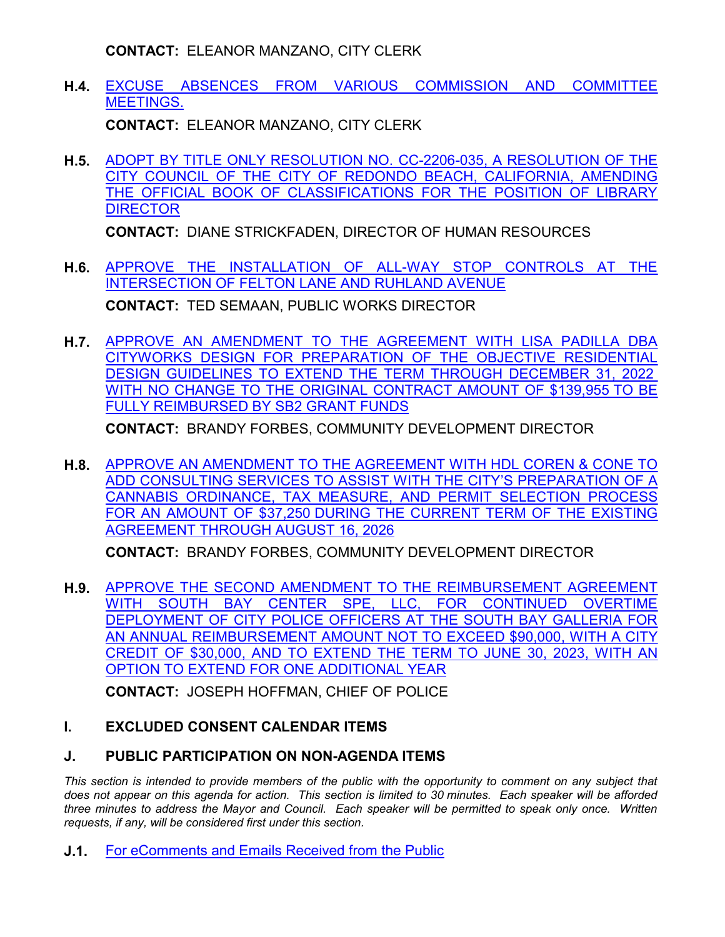**CONTACT:** ELEANOR MANZANO, CITY CLERK

**H.4.** [EXCUSE ABSENCES FROM VARIOUS COMMISSION AND COMMITTEE](http://redondo.legistar.com/gateway.aspx?m=l&id=/matter.aspx?key=5837) MEETINGS.

**CONTACT:** ELEANOR MANZANO, CITY CLERK

**H.5.** [ADOPT BY TITLE ONLY RESOLUTION NO. CC-2206-035, A RESOLUTION OF THE](http://redondo.legistar.com/gateway.aspx?m=l&id=/matter.aspx?key=5822) CITY COUNCIL OF THE CITY OF REDONDO BEACH, CALIFORNIA, AMENDING THE OFFICIAL BOOK OF CLASSIFICATIONS FOR THE POSITION OF LIBRARY **DIRECTOR** 

**CONTACT:** DIANE STRICKFADEN, DIRECTOR OF HUMAN RESOURCES

- **H.6.** [APPROVE THE INSTALLATION OF ALL-WAY STOP CONTROLS AT THE](http://redondo.legistar.com/gateway.aspx?m=l&id=/matter.aspx?key=5867) INTERSECTION OF FELTON LANE AND RUHLAND AVENUE **CONTACT:** TED SEMAAN, PUBLIC WORKS DIRECTOR
- **H.7.** [APPROVE AN AMENDMENT TO THE AGREEMENT WITH LISA PADILLA DBA](http://redondo.legistar.com/gateway.aspx?m=l&id=/matter.aspx?key=5726) CITYWORKS DESIGN FOR PREPARATION OF THE OBJECTIVE RESIDENTIAL DESIGN GUIDELINES TO EXTEND THE TERM THROUGH DECEMBER 31, 2022 WITH NO CHANGE TO THE ORIGINAL CONTRACT AMOUNT OF \$139,955 TO BE FULLY REIMBURSED BY SB2 GRANT FUNDS

**CONTACT:** BRANDY FORBES, COMMUNITY DEVELOPMENT DIRECTOR

**H.8.** [APPROVE AN AMENDMENT TO THE AGREEMENT WITH HDL COREN & CONE TO](http://redondo.legistar.com/gateway.aspx?m=l&id=/matter.aspx?key=5725) ADD CONSULTING SERVICES TO ASSIST WITH THE CITY'S PREPARATION OF A CANNABIS ORDINANCE, TAX MEASURE, AND PERMIT SELECTION PROCESS FOR AN AMOUNT OF \$37,250 DURING THE CURRENT TERM OF THE EXISTING AGREEMENT THROUGH AUGUST 16, 2026

**CONTACT:** BRANDY FORBES, COMMUNITY DEVELOPMENT DIRECTOR

**H.9.** [APPROVE THE SECOND AMENDMENT TO THE REIMBURSEMENT AGREEMENT](http://redondo.legistar.com/gateway.aspx?m=l&id=/matter.aspx?key=5779) WITH SOUTH BAY CENTER SPE, LLC, FOR CONTINUED OVERTIME DEPLOYMENT OF CITY POLICE OFFICERS AT THE SOUTH BAY GALLERIA FOR AN ANNUAL REIMBURSEMENT AMOUNT NOT TO EXCEED \$90,000, WITH A CITY CREDIT OF \$30,000, AND TO EXTEND THE TERM TO JUNE 30, 2023, WITH AN OPTION TO EXTEND FOR ONE ADDITIONAL YEAR

**CONTACT:** JOSEPH HOFFMAN, CHIEF OF POLICE

## **I. EXCLUDED CONSENT CALENDAR ITEMS**

## **J. PUBLIC PARTICIPATION ON NON-AGENDA ITEMS**

This section is intended to provide members of the public with the opportunity to comment on any subject that *does not appear on this agenda for action. This section is limited to 30 minutes. Each speaker will be afforded three minutes to address the Mayor and Council. Each speaker will be permitted to speak only once. Written requests, if any, will be considered first under this section.*

**J.1.** [For eComments and Emails Received from the Public](http://redondo.legistar.com/gateway.aspx?m=l&id=/matter.aspx?key=5828)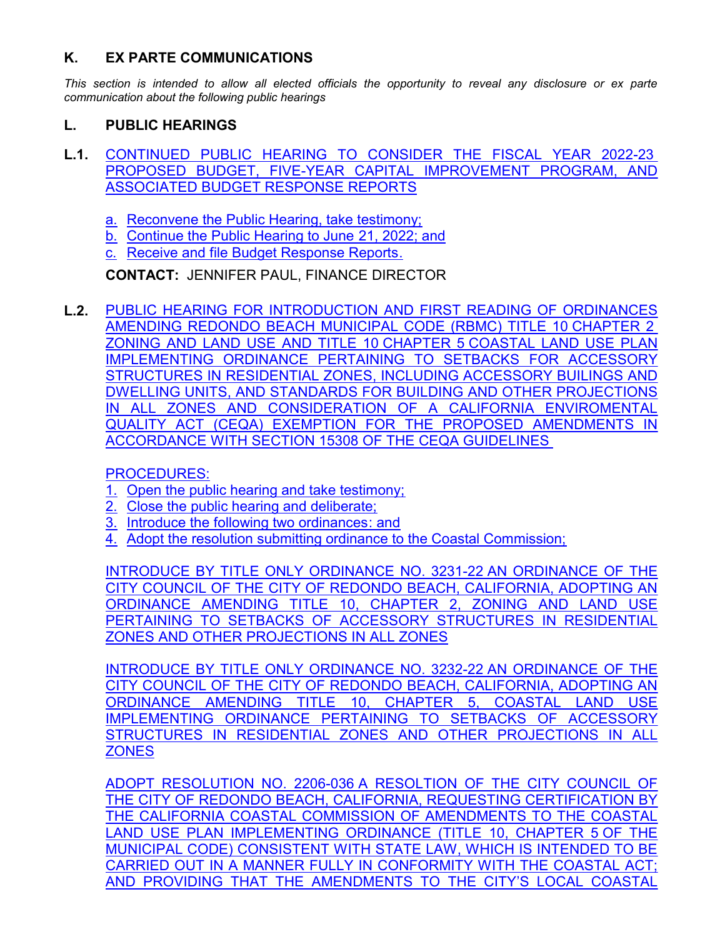## **K. EX PARTE COMMUNICATIONS**

*This section is intended to allow all elected officials the opportunity to reveal any disclosure or ex parte communication about the following public hearings*

## **L. PUBLIC HEARINGS**

- **L.1.** [CONTINUED PUBLIC HEARING TO CONSIDER THE FISCAL YEAR 2022-23](http://redondo.legistar.com/gateway.aspx?m=l&id=/matter.aspx?key=5859)  PROPOSED BUDGET, FIVE-YEAR CAPITAL IMPROVEMENT PROGRAM, AND ASSOCIATED BUDGET RESPONSE REPORTS
	- a. Reconvene the Public Hearing, take testimony;
	- b. Continue the Public Hearing to June 21, 2022; and
	- c. Receive and file Budget Response Reports.

**CONTACT:** JENNIFER PAUL, FINANCE DIRECTOR

**L.2.** PUBLIC HEARING FOR INTRODUCTION AND FIRST READING OF ORDINANCES AMENDING REDONDO BEACH MUNICIPAL CODE (RBMC) TITLE 10 CHAPTER 2 ZONING AND LAND USE AND TITLE 10 CHAPTER 5 COASTAL LAND USE PLAN IMPLEMENTING ORDINANCE PERTAINING TO SETBACKS FOR ACCESSORY STRUCTURES IN RESIDENTIAL ZONES, INCLUDING ACCESSORY BUILINGS AND DWELLING UNITS, AND STANDARDS FOR BUILDING AND OTHER PROJECTIONS IN ALL ZONES AND CONSIDERATION OF A CALIFORNIA ENVIROMENTAL QUALITY ACT (CEQA) EXEMPTION FOR THE PROPOSED AMENDMENTS IN ACCORDANCE WITH SECTION 15308 OF THE CEQA GUIDELINES

PROCEDURES:

- 1. Open the public hearing and take testimony;
- 2. Close the public hearing and deliberate;
- 3. Introduce the following two ordinances: and
- 4. Adopt the resolution submitting ordinance to the Coastal Commission;

INTRODUCE BY TITLE ONLY ORDINANCE NO. 3231-22 AN ORDINANCE OF THE CITY COUNCIL OF THE CITY OF REDONDO BEACH, CALIFORNIA, ADOPTING AN ORDINANCE AMENDING TITLE 10, CHAPTER 2, ZONING AND LAND USE PERTAINING TO SETBACKS OF ACCESSORY STRUCTURES IN RESIDENTIAL ZONES AND OTHER PROJECTIONS IN ALL ZONES

INTRODUCE BY TITLE ONLY ORDINANCE NO. 3232-22 AN ORDINANCE OF THE CITY COUNCIL OF THE CITY OF REDONDO BEACH, CALIFORNIA, ADOPTING AN ORDINANCE AMENDING TITLE 10, CHAPTER 5, COASTAL LAND USE IMPLEMENTING ORDINANCE PERTAINING TO SETBACKS OF ACCESSORY STRUCTURES IN RESIDENTIAL ZONES AND OTHER PROJECTIONS IN ALL **ZONES** 

ADOPT RESOLUTION NO. 2206-036 A RESOLTION OF THE CITY COUNCIL OF THE CITY OF REDONDO BEACH, CALIFORNIA, REQUESTING CERTIFICATION BY THE CALIFORNIA COASTAL COMMISSION OF AMENDMENTS TO THE COASTAL LAND USE PLAN IMPLEMENTING ORDINANCE (TITLE 10, CHAPTER 5 OF THE MUNICIPAL CODE) CONSISTENT WITH STATE LAW, WHICH IS INTENDED TO BE [CARRIED OUT IN A MANNER FULLY IN CONFORMITY WITH THE COASTAL ACT;](http://redondo.legistar.com/gateway.aspx?m=l&id=/matter.aspx?key=5762) AND PROVIDING THAT THE AMENDMENTS TO THE CITY'S LOCAL COASTAL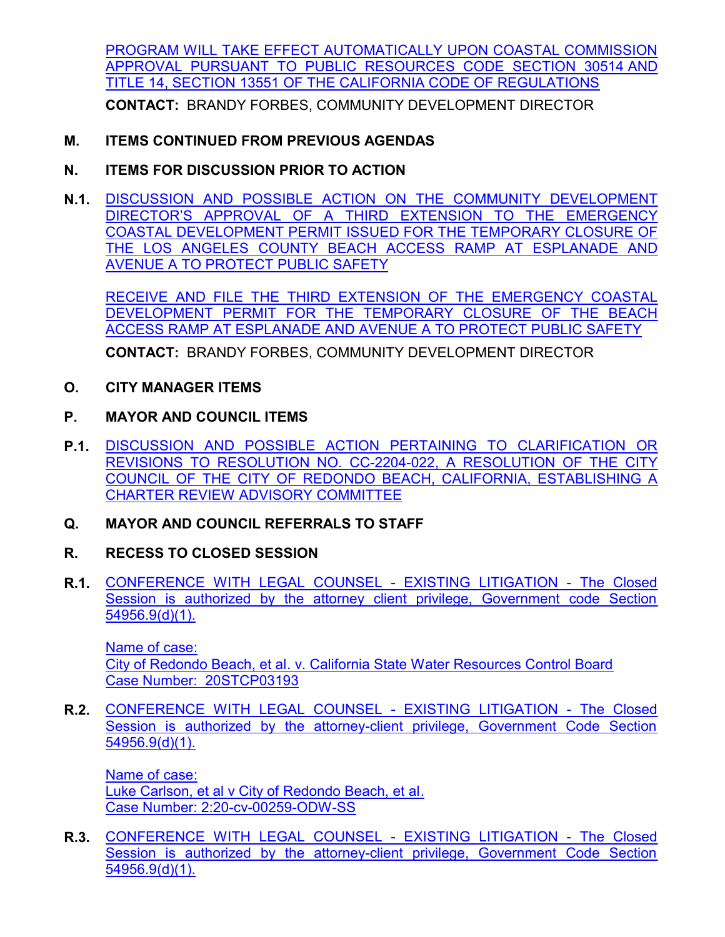[PROGRAM WILL TAKE EFFECT AUTOMATICALLY UPON COASTAL COMMISSION](http://redondo.legistar.com/gateway.aspx?m=l&id=/matter.aspx?key=5762) APPROVAL PURSUANT TO PUBLIC RESOURCES CODE SECTION 30514 AND TITLE 14, SECTION 13551 OF THE CALIFORNIA CODE OF REGULATIONS

**CONTACT:** BRANDY FORBES, COMMUNITY DEVELOPMENT DIRECTOR

## **M. ITEMS CONTINUED FROM PREVIOUS AGENDAS**

- **N. ITEMS FOR DISCUSSION PRIOR TO ACTION**
- **N.1.** DISCUSSION AND POSSIBLE ACTION ON THE COMMUNITY DEVELOPMENT DIRECTOR'S APPROVAL OF A THIRD EXTENSION TO THE EMERGENCY [COASTAL DEVELOPMENT PERMIT ISSUED FOR THE TEMPORARY CLOSURE OF](http://redondo.legistar.com/gateway.aspx?m=l&id=/matter.aspx?key=5773) THE LOS ANGELES COUNTY BEACH ACCESS RAMP AT ESPLANADE AND AVENUE A TO PROTECT PUBLIC SAFETY

RECEIVE AND FILE THE THIRD EXTENSION OF THE EMERGENCY COASTAL DEVELOPMENT PERMIT FOR THE TEMPORARY CLOSURE OF THE BEACH ACCESS RAMP AT ESPLANADE AND AVENUE A TO PROTECT PUBLIC SAFETY

**CONTACT:** BRANDY FORBES, COMMUNITY DEVELOPMENT DIRECTOR

- **O. CITY MANAGER ITEMS**
- **P. MAYOR AND COUNCIL ITEMS**
- **P.1.** [DISCUSSION AND POSSIBLE ACTION PERTAINING TO CLARIFICATION OR](http://redondo.legistar.com/gateway.aspx?m=l&id=/matter.aspx?key=5857) REVISIONS TO RESOLUTION NO. CC-2204-022, A RESOLUTION OF THE CITY COUNCIL OF THE CITY OF REDONDO BEACH, CALIFORNIA, ESTABLISHING A CHARTER REVIEW ADVISORY COMMITTEE
- **Q. MAYOR AND COUNCIL REFERRALS TO STAFF**
- **R. RECESS TO CLOSED SESSION**
- **R.1.** [CONFERENCE WITH LEGAL COUNSEL EXISTING LITIGATION The Closed](http://redondo.legistar.com/gateway.aspx?m=l&id=/matter.aspx?key=5818) Session is authorized by the attorney client privilege, Government code Section 54956.9(d)(1).

Name of case: City of Redondo Beach, et al. v. California State Water Resources Control Board Case Number: 20STCP03193

**R.2.** [CONFERENCE WITH LEGAL COUNSEL - EXISTING LITIGATION - The Closed](http://redondo.legistar.com/gateway.aspx?m=l&id=/matter.aspx?key=5819) Session is authorized by the attorney-client privilege, Government Code Section 54956.9(d)(1).

Name of case: Luke Carlson, et al v City of Redondo Beach, et al. Case Number: 2:20-cv-00259-ODW-SS

**R.3.** [CONFERENCE WITH LEGAL COUNSEL - EXISTING LITIGATION - The Closed](http://redondo.legistar.com/gateway.aspx?m=l&id=/matter.aspx?key=5820) Session is authorized by the attorney-client privilege, Government Code Section 54956.9(d)(1).